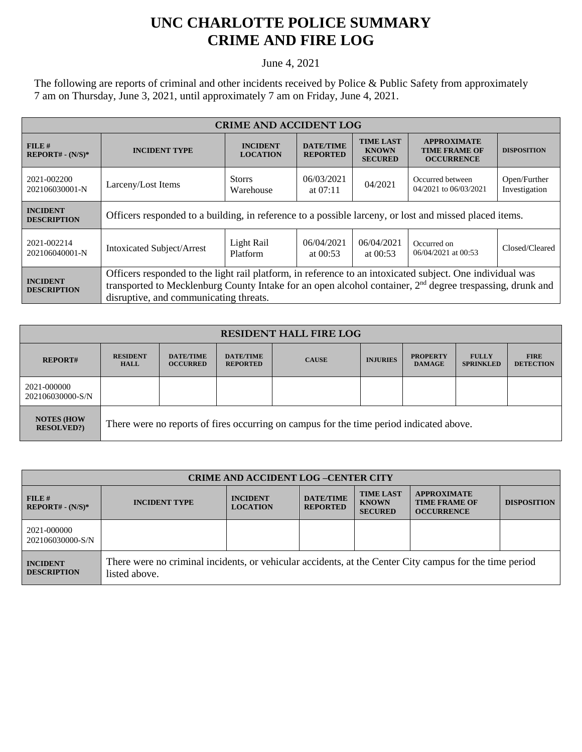## **UNC CHARLOTTE POLICE SUMMARY CRIME AND FIRE LOG**

June 4, 2021

The following are reports of criminal and other incidents received by Police & Public Safety from approximately 7 am on Thursday, June 3, 2021, until approximately 7 am on Friday, June 4, 2021.

| <b>CRIME AND ACCIDENT LOG</b>         |                                                                                                                                                                                                                                                                              |                                                                   |                                     |                                                    |                                                                 |                    |  |
|---------------------------------------|------------------------------------------------------------------------------------------------------------------------------------------------------------------------------------------------------------------------------------------------------------------------------|-------------------------------------------------------------------|-------------------------------------|----------------------------------------------------|-----------------------------------------------------------------|--------------------|--|
| FILE#<br>$REPORT# - (N/S)*$           | <b>INCIDENT TYPE</b>                                                                                                                                                                                                                                                         | <b>INCIDENT</b><br><b>LOCATION</b>                                | <b>DATE/TIME</b><br><b>REPORTED</b> | <b>TIME LAST</b><br><b>KNOWN</b><br><b>SECURED</b> | <b>APPROXIMATE</b><br><b>TIME FRAME OF</b><br><b>OCCURRENCE</b> | <b>DISPOSITION</b> |  |
| 2021-002200<br>202106030001-N         | Larceny/Lost Items                                                                                                                                                                                                                                                           | 06/03/2021<br><b>Storrs</b><br>04/2021<br>Warehouse<br>at $07:11$ |                                     | Occurred between<br>04/2021 to 06/03/2021          | Open/Further<br>Investigation                                   |                    |  |
| <b>INCIDENT</b><br><b>DESCRIPTION</b> | Officers responded to a building, in reference to a possible larceny, or lost and missed placed items.                                                                                                                                                                       |                                                                   |                                     |                                                    |                                                                 |                    |  |
| 2021-002214<br>202106040001-N         | <b>Intoxicated Subject/Arrest</b>                                                                                                                                                                                                                                            | Light Rail<br>Platform                                            | 06/04/2021<br>at $00:53$            | 06/04/2021<br>at $00:53$                           | Occurred on<br>06/04/2021 at 00:53                              | Closed/Cleared     |  |
| <b>INCIDENT</b><br><b>DESCRIPTION</b> | Officers responded to the light rail platform, in reference to an intoxicated subject. One individual was<br>transported to Mecklenburg County Intake for an open alcohol container, 2 <sup>nd</sup> degree trespassing, drunk and<br>disruptive, and communicating threats. |                                                                   |                                     |                                                    |                                                                 |                    |  |

| <b>RESIDENT HALL FIRE LOG</b>          |                                                                                         |                                     |                                     |              |                 |                                  |                                  |                                 |
|----------------------------------------|-----------------------------------------------------------------------------------------|-------------------------------------|-------------------------------------|--------------|-----------------|----------------------------------|----------------------------------|---------------------------------|
| <b>REPORT#</b>                         | <b>RESIDENT</b><br><b>HALL</b>                                                          | <b>DATE/TIME</b><br><b>OCCURRED</b> | <b>DATE/TIME</b><br><b>REPORTED</b> | <b>CAUSE</b> | <b>INJURIES</b> | <b>PROPERTY</b><br><b>DAMAGE</b> | <b>FULLY</b><br><b>SPRINKLED</b> | <b>FIRE</b><br><b>DETECTION</b> |
| 2021-000000<br>202106030000-S/N        |                                                                                         |                                     |                                     |              |                 |                                  |                                  |                                 |
| <b>NOTES (HOW</b><br><b>RESOLVED?)</b> | There were no reports of fires occurring on campus for the time period indicated above. |                                     |                                     |              |                 |                                  |                                  |                                 |

| <b>CRIME AND ACCIDENT LOG-CENTER CITY</b> |                                                                                                                          |                                    |                                     |                                                    |                                                                 |                    |
|-------------------------------------------|--------------------------------------------------------------------------------------------------------------------------|------------------------------------|-------------------------------------|----------------------------------------------------|-----------------------------------------------------------------|--------------------|
| FILE#<br>$REPORT# - (N/S)*$               | <b>INCIDENT TYPE</b>                                                                                                     | <b>INCIDENT</b><br><b>LOCATION</b> | <b>DATE/TIME</b><br><b>REPORTED</b> | <b>TIME LAST</b><br><b>KNOWN</b><br><b>SECURED</b> | <b>APPROXIMATE</b><br><b>TIME FRAME OF</b><br><b>OCCURRENCE</b> | <b>DISPOSITION</b> |
| 2021-000000<br>202106030000-S/N           |                                                                                                                          |                                    |                                     |                                                    |                                                                 |                    |
| <b>INCIDENT</b><br><b>DESCRIPTION</b>     | There were no criminal incidents, or vehicular accidents, at the Center City campus for the time period<br>listed above. |                                    |                                     |                                                    |                                                                 |                    |